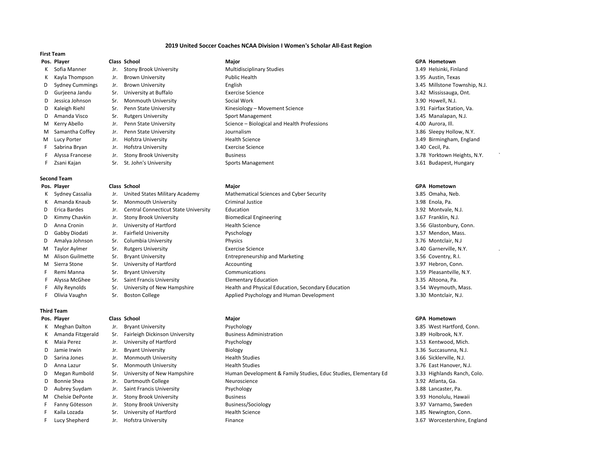## **2019 United Soccer Coaches NCAA Division I Women's Scholar All-East Region**

## **First Team**

- 
- 
- 
- 
- 
- 

# **Second Team**

- **Pos. Player Class School Major GPA Hometown**
- 
- 
- 
- 
- 
- 

## **Third Team**

- 
- 
- 
- 
- 
- 
- 
- 
- 
- 
- 
- 
- 
- **Pos. Player Class School Major GPA Hometown**
	-
	-
- 
- 
- 
- 

K Sofia Manner Jr. Stony Brook University Multidisciplinary Studies 3.49 Helsinki, Finland K Kayla Thompson Jr. Brown University Public Health 3.95 Austin, Texas D Sydney Cummings Jr. Brown University **English 3.45 Millstone Township, N.J.** 3.45 Millstone Township, N.J. D Gurjeena Jandu Sr. University at Buffalo **Exercise Science** 3.42 Mississauga, Ont. D Jessica Johnson Sr. Monmouth University Social Work 3.90 Howell, N.J. D Kaleigh Riehl Sr. Penn State University Station, Va. Sinesiology – Movement Science 3.91 Fairfax Station, Va. D Amanda Visco Sr. Rutgers University Sport Management Sport Management 3.45 Manalapan, N.J. M Kerry Abello Jr. Penn State University Science – Biological and Health Professions 4.00 Aurora, Ill. M Samantha Coffey Jr. Penn State University Journalism Journalism 3.86 Sleepy Hollow, N.Y. M Lucy Porter **19. In the University** Health Science **Mealth Science** 3.49 Birmingham, England F Sabrina Bryan Jr. Hofstra University Exercise Science 3.40 Cecil, Pa. F Alyssa Francese Jr. Stony Brook University Business 3.78 Yorktown Heights, N.Y.

- K Sydney Cassalia Jr. United States Military Academy Mathematical Sciences and Cyber Security 3.85 Omaha, Neb. K Amanda Knaub Sr. Monmouth University Criminal Justice St. 2008 Controller St. 3.98 Enola, Pa. D Erica Bardes Jr. Central Connecticut State University Education 3.92 Montvale, N.J. D Kimmy Chavkin Jr. Stony Brook University Biomedical Engineering 3.67 Franklin, N.J. D Anna Cronin Jr. University of Hartford Health Science Health Science 3.56 Glastonbury, Conn. D Gabby Diodati Jr. Fairfield University Pyschology 3.57 Mendon, Mass. D Amalya Johnson Sr. Columbia University Physics 3.76 Montclair, N.J M Taylor Aylmer Sr. Rutgers University Exercise Science 3.40 Garnerville, N.Y. . M Alison Guilmette Sr. Bryant University **Entrepreneurship and Marketing** 3.56 Coventry, R.I. M Sierra Stone Sr. University of Hartford **Accounting Accounting Connect Accounting** 3.97 Hebron, Conn. F Remi Manna Sr. Bryant University Communications Communications 3.59 Pleasantville, N.Y. F Alyssa McGhee Sr. Saint Francis University Elementary Education 3.35 Altoona, Pa. F Ally Reynolds Sr. University of New Hampshire Health and Physical Education, Secondary Education 3.54 Weymouth, Mass. F Olivia Vaughn Sr. Boston College Applied Psychology and Human Development 3.30 Montclair, N.J.
- **Pos. Player Class School Major GPA Hometown** K Meghan Dalton Jr. Bryant University **Property Accord By Psychology Psychology Psychology Psychology Psychology Psychology Psychology Psychology Psychology Psychology Psychology Psychology Psycholo** K Amanda Fitzgerald Sr. Fairleigh Dickinson University Business Administration 3.89 Holbrook, N.Y. K Maia Perez Jr. University of Hartford Psychology Present Psychology and Psychology 3.53 Kentwood, Mich. D Jamie Irwin States and Diversity and Diversity Biology and Biology and Diversion Communication of the Succasunna, N.J. D Sarina Jones Jr. Monmouth University Health Studies Health Studies 3.66 Sicklerville, N.J. D Anna Lazur Sr. Monmouth University Health Studies Studies 3.76 East Hanover, N.J. D Megan Rumbold Sr. University of New Hampshire Human Development & Family Studies, Educ Studies, Elementary Ed 3.33 Highlands Ranch, Colo. D Bonnie Shea Jr. Dartmouth College Neuroscience 3.92 Atlanta, Ga. D Aubrey Suydam Jr. Saint Francis University Psychology Psychology 3.88 Lancaster, Pa. M Chelsie DePonte Jr. Stony Brook University Business Business 3.93 Honolulu, Hawaii 3.93 Honolulu, Hawaii F Fanny Götesson Jr. Stony Brook University Business/Sociology 3.97 Varnamo, Sweden F Kaila Lozada Sr. University of Hartford Health Science Health Science 3.85 Newington, Conn. F Lucy Shepherd Jr. Hofstra University **Finance** Finance **3.67 Worcestershire, England**

F Zsani Kajan Sr. St. John's University Sports Management Sports Management 3.61 Budapest, Hungary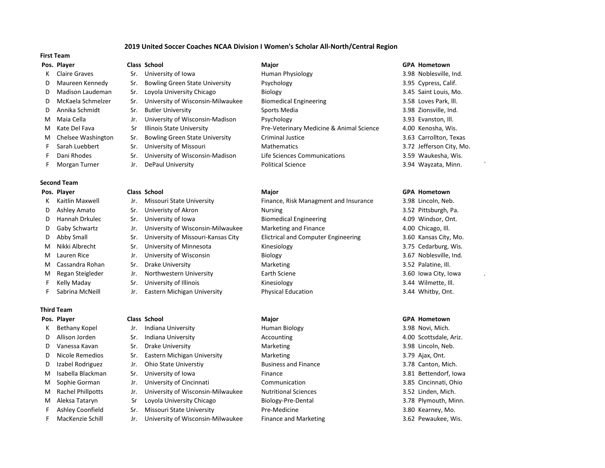# **2019 United Soccer Coaches NCAA Division I Women's Scholar All-North/Central Region**

# **First Team**

- 
- 
- 
- 
- 
- 
- 
- 
- 
- 
- 

# **Second Team**

- 
- 
- 
- 
- 
- 
- 
- 
- 
- 
- 

# **Third Team**

- 
- 
- 
- 
- 
- 
- 
- 
- 
- 
- 

**Pos. Player Class School Major GPA Hometown**

K Claire Graves Sr. University of Iowa Burness Human Physiology Claire Street Same Same Same Street, Ind. D Maureen Kennedy Sr. Bowling Green State University Psychology Providence State 3.95 Cypress, Calif. D Madison Laudeman Sr. Loyola University Chicago Biology 3.45 Saint Louis, Mo. D McKaela Schmelzer Sr. University of Wisconsin-Milwaukee Biomedical Engineering 3.58 Loves Park, lll. D Annika Schmidt Sr. Butler University Sports Media 3.98 Zionsville, Ind. M Maia Cella Jr. University of Wisconsin-Madison Psychology 3.93 Evanston, Ill. M Kate Del Fava Sr Illinois State University Pre-Veterinary Medicine & Animal Science 4.00 Kenosha, Wis. M Chelsee Washington Sr. Bowling Green State University Criminal Justice 3.63 Carrollton, Texas F Sarah Luebbert Sr. University of Missouri Mathematics 3.72 Jefferson City, Mo. F Dani Rhodes Sr. University of Wisconsin-Madison Life Sciences Communications 3.59 Waukesha, Wis. F Morgan Turner 1982 Jr. DePaul University **Proventing Political Science** 1983 Mayzata, Minn. ` 3.94 Wayzata, Minn.

- K Kaitlin Maxwell **Jr.** Missouri State University Finance, Risk Managment and Insurance 3.98 Lincoln, Neb. D Ashley Amato Sr. Univeristy of Akron Nursing Nursing 3.52 Pittsburgh, Pa. D Hannah Drkulec Sr. University of Iowa Biomedical Engineering and the 4.09 Windsor, Ont. D Gaby Schwartz Jr. University of Wisconsin-Milwaukee Marketing and Finance 4.00 Chicago, Ill. D Abby Small Sr. University of Missouri-Kansas City Elictrical and Computer Engineering 3.60 Kansas City, Mo. M Nikki Albrecht Sr. University of Minnesota Kinesiology 3.75 Cedarburg, Wis. M Lauren Rice **State Act Act Act State Jr. University of Wisconsin** Biology **3.67 Noblesville, Ind.** M Cassandra Rohan Sr. Drake University Marketing Marketing S.52 Palatine, III. M Regan Steigleder Jr. Northwestern University **Earth Sciene 3.60 Iowa City, Iowa** F Kelly Maday Sr. University of Illinois Kinesiology Kinesiology S.44 Wilmette, III. F Sabrina McNeill Jr. Eastern Michigan University Physical Education 3.44 Whitby, Ont.
- **Pos. Player Class School Major GPA Hometown** K Bethany Kopel Jr. Indiana University **Human Biology** 3.98 Novi, Mich. D Allison Jorden Sr. Indiana University **Accounting Accounting 3.1 Consuming Accounting** Accounting Ariz. D Vanessa Kavan Sr. Drake University Marketing Marketing S. S. 3.98 Lincoln, Neb. D Nicole Remedios Sr. Eastern Michigan University Marketing Marketing 3.79 Ajax, Ont. D Izabel Rodriguez Jr. Ohio State Universtiy Business and Finance 3.78 Canton, Mich. M Sophie Gorman Jr. University of Cincinnati Communication 3.85 Cincinnati, Ohio M Rachel Phillpotts Jr. University of Wisconsin-Milwaukee Nutritional Sciences 3.52 Linden, Mich. F Ashley Coonfield Sr. Missouri State University Pre-Medicine 3.80 Kearney, Mo. F MacKenzie Schill Jr. University of Wisconsin-Milwaukee Finance and Marketing 3.62 Pewaukee, Wis.

- 
- 

# **Pos. Player Class School Major GPA Hometown**

M Isabella Blackman Sr. University of Iowa Shane Britance St. School Basic Basic Basic Bowa Basic Bowa Basic B M Aleksa Tataryn Sr Loyola University Chicago Biology-Pre-Dental and Biology-Pre-Tender 3.78 Plymouth, Minn.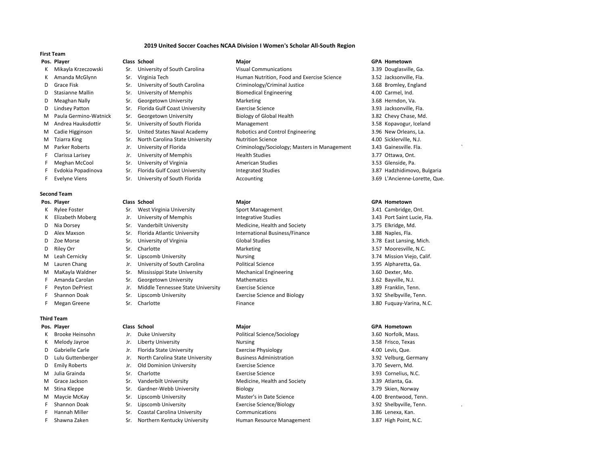## **2019 United Soccer Coaches NCAA Division I Women's Scholar All-South Region**

## **First Team**

- 
- 
- 
- 
- 
- 
- 
- 
- 
- 
- 
- 
- 
- 
- 

## **Second Team**

- 
- 
- 
- 
- 
- 
- 
- 
- 
- 
- 
- 
- 

## **Third Team**

- 
- 
- 
- 
- 
- 
- 
- 
- 
- 
- 
- 
- 
- **Pos. Player Class School Major GPA Hometown**
	-
	-
	-
	-
	-
	-
	-
	-
	-
	-
	-
	-
	-
- F Evelyne Viens Sr. University of South Florida Accounting Accounting 3.69 L'Ancienne-Lorette, Que.

- K Rylee Foster Sr. West Virginia University Sport Management Sport Management 3.41 Cambridge, Ont.
	-
- D Nia Dorsey Sr. Vanderbilt University Medicine, Health and Society 3.75 Elkridge, Md.
- D Alex Maxson Sr. Florida Atlantic University International Business/Finance 3.88 Naples, Fla.
	-
	-
	-
- M Lauren Chang Same Jr. University of South Carolina Political Science Changes and Same 3.95 Alpharetta, Ga.
- M MaKayla Waldner Sr. Mississippi State University Mechanical Engineering 3.60 Dexter, Mo.
- F Amanda Carolan Sr. Georgetown University Mathematics Subsection 3.62 Bayville, N.J.
- F Peyton DePriest Jr. Middle Tennessee State University Exercise Science 3.89 Franklin, Tenn.
	-
	-

- K Brooke Heinsohn Jr. Duke University **Political Science/Sociology** 3.60 Norfolk, Mass.
- K Melody Jayroe Jr. Liberty University Nursing 3.58 Frisco, Texas
- D Gabrielle Carle 1. Florida State University Exercise Physiology 6.00 Levis, Que.
- D Lulu Guttenberger Jr. North Carolina State University Business Administration 3.92 Velburg, Germany
- D Emily Roberts Jr. Old Dominion University Exercise Science 3.70 Severn, Md.
	-
- M Grace Jackson Sr. Vanderbilt University Medicine, Health and Society 3.39 Atlanta, Ga.
- M Stina Kleppe Sr. Gardner-Webb University Biology Biology 3.79 Skien, Norway
	-
	-
- F Hannah Miller Sr. Coastal Carolina University Communications 3.86 Lenexa, Kan.
- F Shawna Zaken Sr. Northern Kentucky University Human Resource Management 3.87 High Point, N.C.

- K Mikayla Krzeczowski Sr. University of South Carolina Visual Communications 3.39 Douglasville, Ga. K Amanda McGlynn Sr. Virginia Tech Buman Nutrition, Food and Exercise Science 3.52 Jacksonville, Fla. D Grace Fisk Sr. University of South Carolina Criminology/Criminal Justice 3.68 Bromley, England D Stasianne Mallin Sr. University of Memphis Biomedical Engineering States and A.00 Carmel, Ind. D Meaghan Nally Sr. Georgetown University Marketing Marketing St. 3.68 Herndon, Va. D Lindsey Patton Sr. Florida Gulf Coast University Exercise Science Steed Assessment Design Steed Assessment D M Paula Germino-Watnick Sr. Georgetown University Biology of Global Health 3.82 Chevy Chase, Md. M Andrea Hauksdottir Sr. University of South Florida Management Management 3.58 Kopavogur, Iceland M Cadie Higginson Sr. United States Naval Academy Robotics and Control Engineering 3.96 New Orleans, La. M Tziarra King Sr. North Carolina State University Nutrition Science Nutrition Science 4.00 Sicklerville, N.J. M Parker Roberts Jr. University of Florida Criminology/Sociology; Masters in Management 3.43 Gainesville. Fla.
- F Clarissa Larisey Jr. University of Memphis Health Studies 3.77 Ottawa, Ont. F Meghan McCool Sr. University of Virginia **American Studies** 3.53 Glenside, Pa.
- F Evdokia Popadinova Sr. Florida Gulf Coast University Integrated Studies 3.87 Hadzhidimovo, Bulgaria

### **Pos. Player Class School Major GPA Hometown**

K Elizabeth Moberg States Jr. University of Memphis Integrative Studies 10 Company 2.43 Port Saint Lucie, Fla. D Zoe Morse Sr. University of Virginia Global Studies 3.78 East Lansing, Mich. D Riley Orr Sr. Charlotte Sr. Charlotte Marketing 3.57 Mooresville, N.C. M Leah Cernicky Sr. Lipscomb University Nursing Nursing 3.74 Mission Viejo, Calif. F Shannon Doak Sr. Lipscomb University Exercise Science and Biology Same Biology 3.92 Shelbyville, Tenn. F Megan Greene Sr. Charlotte Sr. Charlotte Sr. Charlotte Sr. Charlotte Sr. Charlotte Sr. Charlotte Sr. Charlotte Sr. Charlotte Sr. Charlotte Sr. Charlotte Sr. Charlotte Sr. Charlotte Sr. Charlotte Sr. Charlotte Sr. Charlot

## **Pos. Player Class School Major GPA Hometown**

M Julia Grainda **Sr.** Charlotte **Exercise Science Exercise Science** 3.93 Cornelius, N.C. M Maycie McKay Sr. Lipscomb University Master's in Date Science 6.000 Brentwood, Tenn. F Shannon Doak Sr. Lipscomb University **Exercise Science/Biology** 3.92 Shelbyville, Tenn.